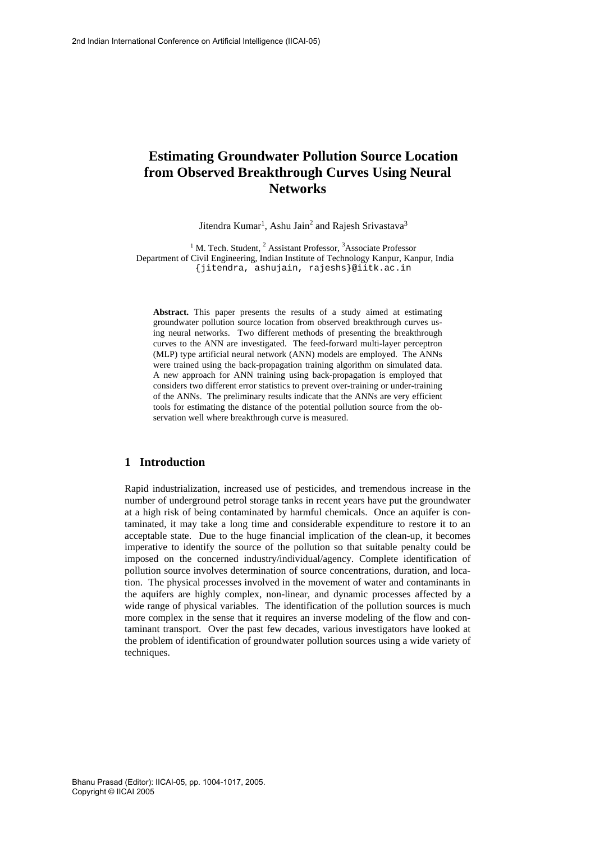# **Estimating Groundwater Pollution Source Location from Observed Breakthrough Curves Using Neural Networks**

Jitendra Kumar<sup>1</sup>, Ashu Jain<sup>2</sup> and Rajesh Srivastava<sup>3</sup>

<sup>1</sup> M. Tech. Student, <sup>2</sup> Assistant Professor, <sup>3</sup>Associate Professor Department of Civil Engineering, Indian Institute of Technology Kanpur, Kanpur, India {jitendra, ashujain, rajeshs}@iitk.ac.in

**Abstract.** This paper presents the results of a study aimed at estimating groundwater pollution source location from observed breakthrough curves using neural networks. Two different methods of presenting the breakthrough curves to the ANN are investigated. The feed-forward multi-layer perceptron (MLP) type artificial neural network (ANN) models are employed. The ANNs were trained using the back-propagation training algorithm on simulated data. A new approach for ANN training using back-propagation is employed that considers two different error statistics to prevent over-training or under-training of the ANNs. The preliminary results indicate that the ANNs are very efficient tools for estimating the distance of the potential pollution source from the observation well where breakthrough curve is measured.

### **1 Introduction**

Rapid industrialization, increased use of pesticides, and tremendous increase in the number of underground petrol storage tanks in recent years have put the groundwater at a high risk of being contaminated by harmful chemicals. Once an aquifer is contaminated, it may take a long time and considerable expenditure to restore it to an acceptable state. Due to the huge financial implication of the clean-up, it becomes imperative to identify the source of the pollution so that suitable penalty could be imposed on the concerned industry/individual/agency. Complete identification of pollution source involves determination of source concentrations, duration, and location. The physical processes involved in the movement of water and contaminants in the aquifers are highly complex, non-linear, and dynamic processes affected by a wide range of physical variables. The identification of the pollution sources is much more complex in the sense that it requires an inverse modeling of the flow and contaminant transport. Over the past few decades, various investigators have looked at the problem of identification of groundwater pollution sources using a wide variety of techniques.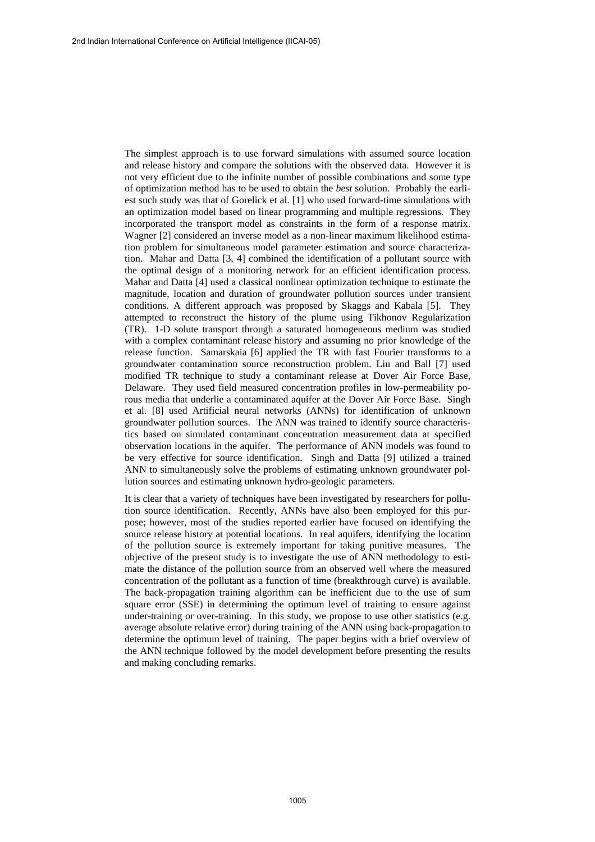The simplest approach is to use forward simulations with assumed source location and release history and compare the solutions with the observed data. However it is not very efficient due to the infinite number of possible combinations and some type of optimization method has to be used to obtain the *best* solution. Probably the earliest such study was that of Gorelick et al. [1] who used forward-time simulations with an optimization model based on linear programming and multiple regressions. They incorporated the transport model as constraints in the form of a response matrix. Wagner [2] considered an inverse model as a non-linear maximum likelihood estimation problem for simultaneous model parameter estimation and source characterization. Mahar and Datta [3, 4] combined the identification of a pollutant source with the optimal design of a monitoring network for an efficient identification process. Mahar and Datta [4] used a classical nonlinear optimization technique to estimate the magnitude, location and duration of groundwater pollution sources under transient conditions. A different approach was proposed by Skaggs and Kabala [5]. They attempted to reconstruct the history of the plume using Tikhonov Regularization (TR). 1-D solute transport through a saturated homogeneous medium was studied with a complex contaminant release history and assuming no prior knowledge of the release function. Samarskaia [6] applied the TR with fast Fourier transforms to a groundwater contamination source reconstruction problem. Liu and Ball [7] used modified TR technique to study a contaminant release at Dover Air Force Base, Delaware. They used field measured concentration profiles in low-permeability porous media that underlie a contaminated aquifer at the Dover Air Force Base. Singh et al. [8] used Artificial neural networks (ANNs) for identification of unknown groundwater pollution sources. The ANN was trained to identify source characteristics based on simulated contaminant concentration measurement data at specified observation locations in the aquifer. The performance of ANN models was found to be very effective for source identification. Singh and Datta [9] utilized a trained ANN to simultaneously solve the problems of estimating unknown groundwater pollution sources and estimating unknown hydro-geologic parameters.

It is clear that a variety of techniques have been investigated by researchers for pollution source identification. Recently, ANNs have also been employed for this purpose; however, most of the studies reported earlier have focused on identifying the source release history at potential locations. In real aquifers, identifying the location of the pollution source is extremely important for taking punitive measures. The objective of the present study is to investigate the use of ANN methodology to estimate the distance of the pollution source from an observed well where the measured concentration of the pollutant as a function of time (breakthrough curve) is available. The back-propagation training algorithm can be inefficient due to the use of sum square error (SSE) in determining the optimum level of training to ensure against under-training or over-training. In this study, we propose to use other statistics (e.g. average absolute relative error) during training of the ANN using back-propagation to determine the optimum level of training. The paper begins with a brief overview of the ANN technique followed by the model development before presenting the results and making concluding remarks.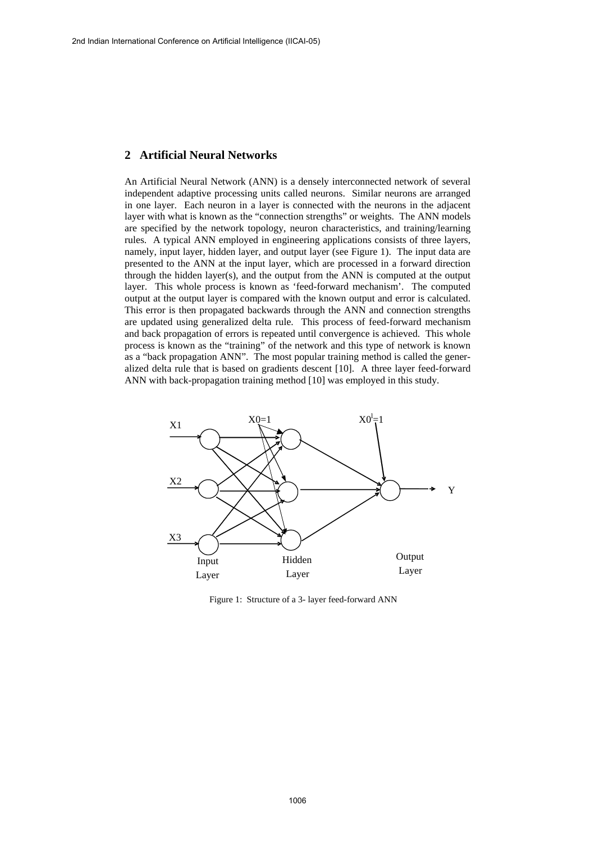### **2 Artificial Neural Networks**

An Artificial Neural Network (ANN) is a densely interconnected network of several independent adaptive processing units called neurons. Similar neurons are arranged in one layer. Each neuron in a layer is connected with the neurons in the adjacent layer with what is known as the "connection strengths" or weights. The ANN models are specified by the network topology, neuron characteristics, and training/learning rules. A typical ANN employed in engineering applications consists of three layers, namely, input layer, hidden layer, and output layer (see Figure 1). The input data are presented to the ANN at the input layer, which are processed in a forward direction through the hidden layer(s), and the output from the ANN is computed at the output layer. This whole process is known as 'feed-forward mechanism'. The computed output at the output layer is compared with the known output and error is calculated. This error is then propagated backwards through the ANN and connection strengths are updated using generalized delta rule. This process of feed-forward mechanism and back propagation of errors is repeated until convergence is achieved. This whole process is known as the "training" of the network and this type of network is known as a "back propagation ANN". The most popular training method is called the generalized delta rule that is based on gradients descent [10]. A three layer feed-forward ANN with back-propagation training method [10] was employed in this study.



Figure 1: Structure of a 3- layer feed-forward ANN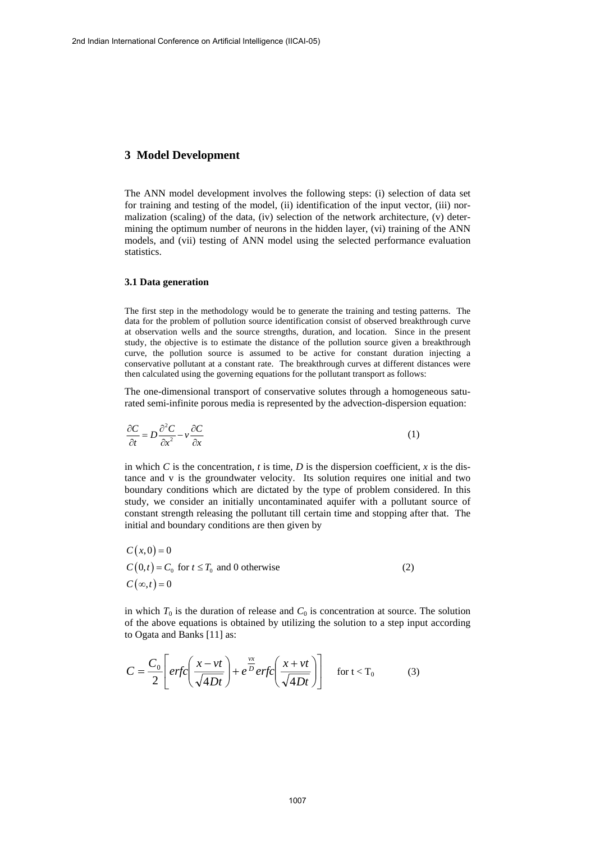### **3 Model Development**

The ANN model development involves the following steps: (i) selection of data set for training and testing of the model, (ii) identification of the input vector, (iii) normalization (scaling) of the data, (iv) selection of the network architecture, (v) determining the optimum number of neurons in the hidden layer, (vi) training of the ANN models, and (vii) testing of ANN model using the selected performance evaluation statistics.

### **3.1 Data generation**

The first step in the methodology would be to generate the training and testing patterns. The data for the problem of pollution source identification consist of observed breakthrough curve at observation wells and the source strengths, duration, and location. Since in the present study, the objective is to estimate the distance of the pollution source given a breakthrough curve, the pollution source is assumed to be active for constant duration injecting a conservative pollutant at a constant rate. The breakthrough curves at different distances were then calculated using the governing equations for the pollutant transport as follows:

The one-dimensional transport of conservative solutes through a homogeneous saturated semi-infinite porous media is represented by the advection-dispersion equation:

$$
\frac{\partial C}{\partial t} = D \frac{\partial^2 C}{\partial x^2} - v \frac{\partial C}{\partial x}
$$
 (1)

in which  $C$  is the concentration,  $t$  is time,  $D$  is the dispersion coefficient,  $x$  is the distance and v is the groundwater velocity. Its solution requires one initial and two boundary conditions which are dictated by the type of problem considered. In this study, we consider an initially uncontaminated aquifer with a pollutant source of constant strength releasing the pollutant till certain time and stopping after that. The initial and boundary conditions are then given by

$$
C(x,0) = 0
$$
  
\n
$$
C(0,t) = C_0 \text{ for } t \le T_0 \text{ and } 0 \text{ otherwise}
$$
  
\n
$$
C(\infty, t) = 0
$$
\n(2)

in which  $T_0$  is the duration of release and  $C_0$  is concentration at source. The solution of the above equations is obtained by utilizing the solution to a step input according to Ogata and Banks [11] as:

$$
C = \frac{C_0}{2} \left[ erfc\left(\frac{x - vt}{\sqrt{4Dt}}\right) + e^{\frac{vx}{D}} erfc\left(\frac{x + vt}{\sqrt{4Dt}}\right) \right] \quad \text{for } t < T_0 \tag{3}
$$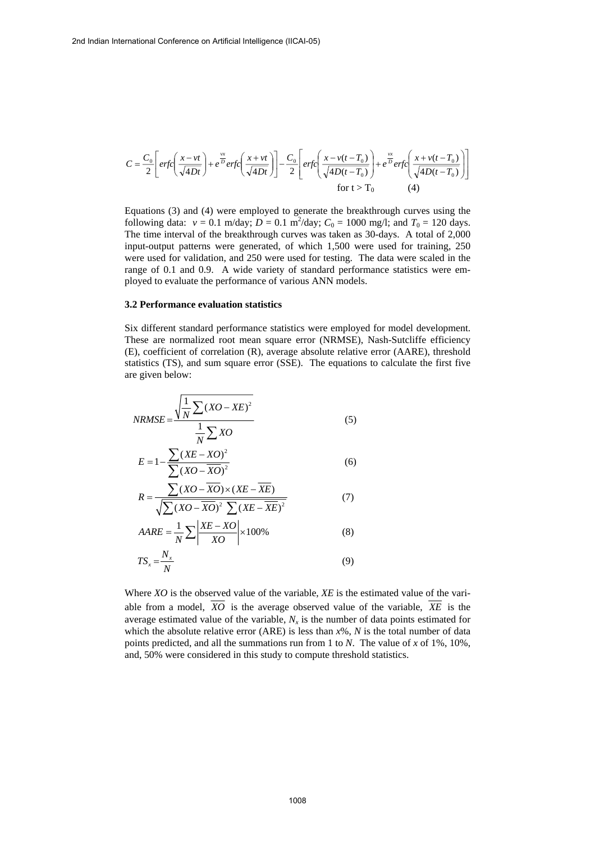$$
C = \frac{C_0}{2} \left[ erfc\left(\frac{x - vt}{\sqrt{4Dt}}\right) + e^{\frac{vx}{D}} erfc\left(\frac{x + vt}{\sqrt{4Dt}}\right) \right] - \frac{C_0}{2} \left[ erfc\left(\frac{x - v(t - T_0)}{\sqrt{4D(t - T_0)}}\right) + e^{\frac{vx}{D}} erfc\left(\frac{x + v(t - T_0)}{\sqrt{4D(t - T_0)}}\right) \right]
$$
  
for t > T<sub>0</sub> (4)

Equations (3) and (4) were employed to generate the breakthrough curves using the following data:  $v = 0.1 \text{ m/day}$ ;  $D = 0.1 \text{ m}^2/\text{day}$ ;  $C_0 = 1000 \text{ mg/l}$ ; and  $T_0 = 120 \text{ days}$ . The time interval of the breakthrough curves was taken as 30-days. A total of 2,000 input-output patterns were generated, of which 1,500 were used for training, 250 were used for validation, and 250 were used for testing. The data were scaled in the range of 0.1 and 0.9. A wide variety of standard performance statistics were employed to evaluate the performance of various ANN models.

#### **3.2 Performance evaluation statistics**

Six different standard performance statistics were employed for model development. These are normalized root mean square error (NRMSE), Nash-Sutcliffe efficiency (E), coefficient of correlation (R), average absolute relative error (AARE), threshold statistics (TS), and sum square error (SSE). The equations to calculate the first five are given below:

$$
NRMSE = \frac{\sqrt{\frac{1}{N} \sum (XO - XE)^2}}{\frac{1}{N} \sum XO}
$$
(5)

$$
E = 1 - \frac{\sum (XE - XO)^2}{\sum (XO - \overline{XO})^2}
$$
 (6)

$$
R = \frac{\sum (XO - \overline{XO}) \times (XE - \overline{XE})}{\sqrt{\sum (XO - \overline{XO})^2 \sum (XE - \overline{XE})^2}}
$$
(7)

$$
AARE = \frac{1}{N} \sum \left| \frac{XE - XO}{XO} \right| \times 100\%
$$
 (8)

$$
TS_x = \frac{N_x}{N}
$$
 (9)

Where *XO* is the observed value of the variable, *XE* is the estimated value of the variable from a model,  $\overline{XO}$  is the average observed value of the variable,  $\overline{XE}$  is the average estimated value of the variable,  $N_r$  is the number of data points estimated for which the absolute relative error (ARE) is less than *x*%, *N* is the total number of data points predicted, and all the summations run from 1 to *N*. The value of *x* of 1%, 10%, and, 50% were considered in this study to compute threshold statistics.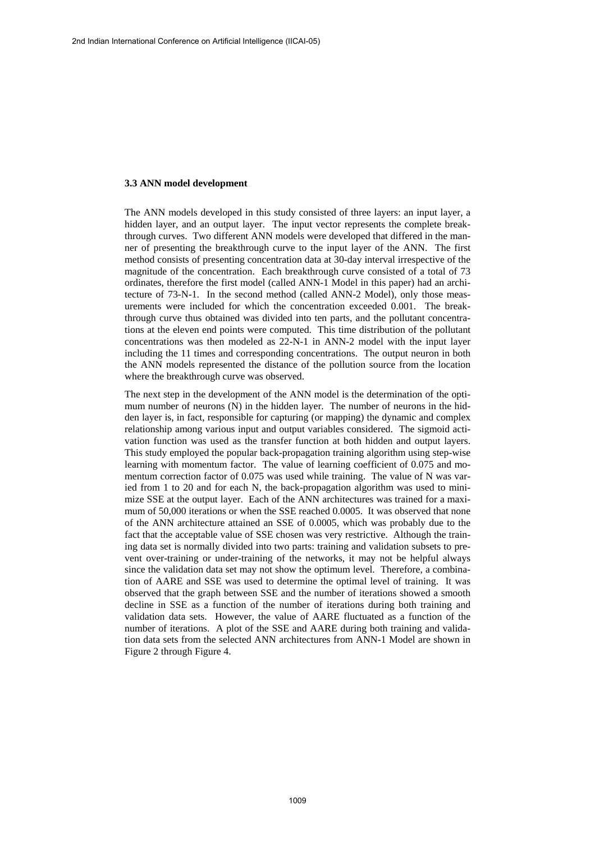#### **3.3 ANN model development**

The ANN models developed in this study consisted of three layers: an input layer, a hidden layer, and an output layer. The input vector represents the complete breakthrough curves. Two different ANN models were developed that differed in the manner of presenting the breakthrough curve to the input layer of the ANN. The first method consists of presenting concentration data at 30-day interval irrespective of the magnitude of the concentration. Each breakthrough curve consisted of a total of 73 ordinates, therefore the first model (called ANN-1 Model in this paper) had an architecture of 73-N-1. In the second method (called ANN-2 Model), only those measurements were included for which the concentration exceeded 0.001. The breakthrough curve thus obtained was divided into ten parts, and the pollutant concentrations at the eleven end points were computed. This time distribution of the pollutant concentrations was then modeled as 22-N-1 in ANN-2 model with the input layer including the 11 times and corresponding concentrations. The output neuron in both the ANN models represented the distance of the pollution source from the location where the breakthrough curve was observed.

The next step in the development of the ANN model is the determination of the optimum number of neurons (N) in the hidden layer. The number of neurons in the hidden layer is, in fact, responsible for capturing (or mapping) the dynamic and complex relationship among various input and output variables considered. The sigmoid activation function was used as the transfer function at both hidden and output layers. This study employed the popular back-propagation training algorithm using step-wise learning with momentum factor. The value of learning coefficient of 0.075 and momentum correction factor of 0.075 was used while training. The value of N was varied from 1 to 20 and for each N, the back-propagation algorithm was used to minimize SSE at the output layer. Each of the ANN architectures was trained for a maximum of 50,000 iterations or when the SSE reached 0.0005. It was observed that none of the ANN architecture attained an SSE of 0.0005, which was probably due to the fact that the acceptable value of SSE chosen was very restrictive. Although the training data set is normally divided into two parts: training and validation subsets to prevent over-training or under-training of the networks, it may not be helpful always since the validation data set may not show the optimum level. Therefore, a combination of AARE and SSE was used to determine the optimal level of training. It was observed that the graph between SSE and the number of iterations showed a smooth decline in SSE as a function of the number of iterations during both training and validation data sets. However, the value of AARE fluctuated as a function of the number of iterations. A plot of the SSE and AARE during both training and validation data sets from the selected ANN architectures from ANN-1 Model are shown in Figure 2 through Figure 4.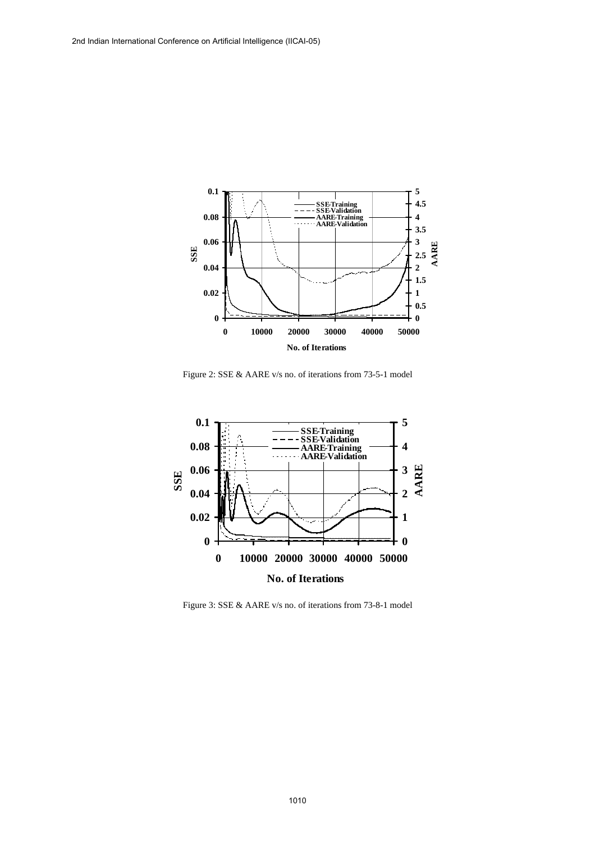

Figure 2: SSE & AARE v/s no. of iterations from 73-5-1 model



Figure 3: SSE & AARE v/s no. of iterations from 73-8-1 model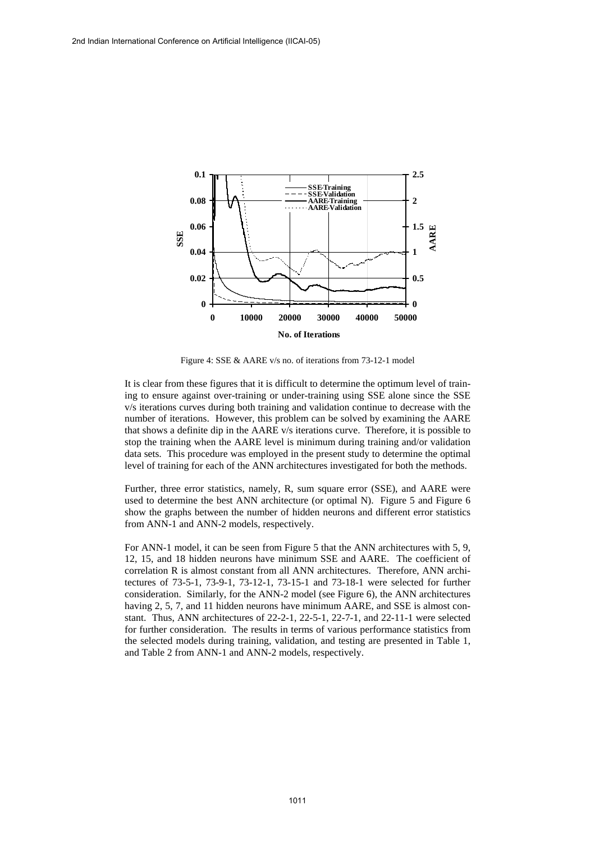

Figure 4: SSE & AARE v/s no. of iterations from 73-12-1 model

It is clear from these figures that it is difficult to determine the optimum level of training to ensure against over-training or under-training using SSE alone since the SSE v/s iterations curves during both training and validation continue to decrease with the number of iterations. However, this problem can be solved by examining the AARE that shows a definite dip in the AARE v/s iterations curve. Therefore, it is possible to stop the training when the AARE level is minimum during training and/or validation data sets. This procedure was employed in the present study to determine the optimal level of training for each of the ANN architectures investigated for both the methods.

Further, three error statistics, namely, R, sum square error (SSE), and AARE were used to determine the best ANN architecture (or optimal N). Figure 5 and Figure 6 show the graphs between the number of hidden neurons and different error statistics from ANN-1 and ANN-2 models, respectively.

For ANN-1 model, it can be seen from Figure 5 that the ANN architectures with 5, 9, 12, 15, and 18 hidden neurons have minimum SSE and AARE. The coefficient of correlation R is almost constant from all ANN architectures. Therefore, ANN architectures of 73-5-1, 73-9-1, 73-12-1, 73-15-1 and 73-18-1 were selected for further consideration. Similarly, for the ANN-2 model (see Figure 6), the ANN architectures having 2, 5, 7, and 11 hidden neurons have minimum AARE, and SSE is almost constant. Thus, ANN architectures of 22-2-1, 22-5-1, 22-7-1, and 22-11-1 were selected for further consideration. The results in terms of various performance statistics from the selected models during training, validation, and testing are presented in Table 1, and Table 2 from ANN-1 and ANN-2 models, respectively.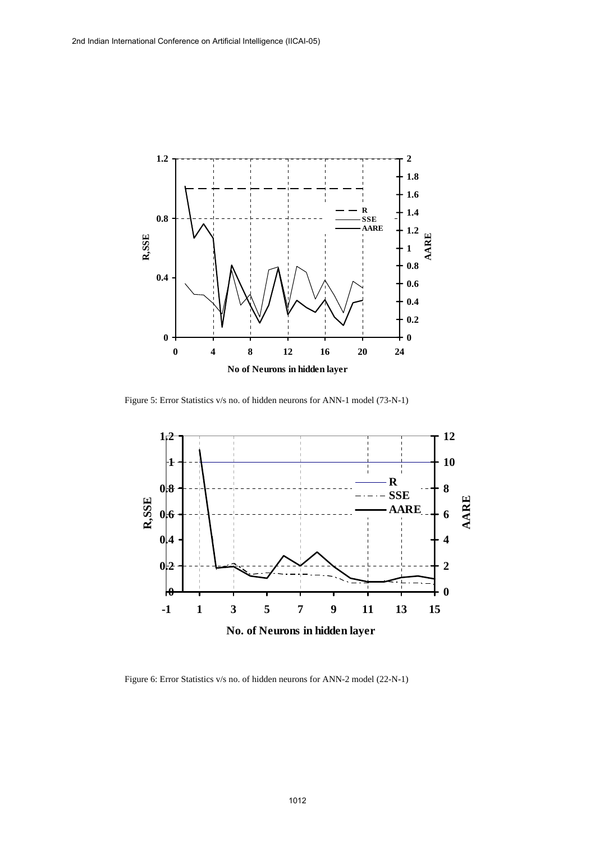

Figure 5: Error Statistics v/s no. of hidden neurons for ANN-1 model (73-N-1)



Figure 6: Error Statistics v/s no. of hidden neurons for ANN-2 model (22-N-1)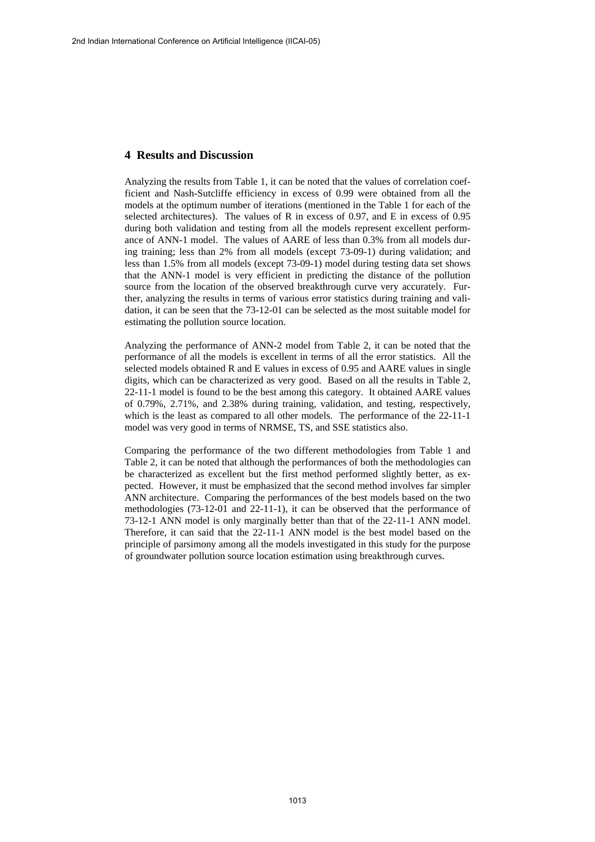### **4 Results and Discussion**

Analyzing the results from Table 1, it can be noted that the values of correlation coefficient and Nash-Sutcliffe efficiency in excess of 0.99 were obtained from all the models at the optimum number of iterations (mentioned in the Table 1 for each of the selected architectures). The values of R in excess of 0.97, and E in excess of 0.95 during both validation and testing from all the models represent excellent performance of ANN-1 model. The values of AARE of less than 0.3% from all models during training; less than 2% from all models (except 73-09-1) during validation; and less than 1.5% from all models (except 73-09-1) model during testing data set shows that the ANN-1 model is very efficient in predicting the distance of the pollution source from the location of the observed breakthrough curve very accurately. Further, analyzing the results in terms of various error statistics during training and validation, it can be seen that the 73-12-01 can be selected as the most suitable model for estimating the pollution source location.

Analyzing the performance of ANN-2 model from Table 2, it can be noted that the performance of all the models is excellent in terms of all the error statistics. All the selected models obtained R and E values in excess of 0.95 and AARE values in single digits, which can be characterized as very good. Based on all the results in Table 2, 22-11-1 model is found to be the best among this category. It obtained AARE values of 0.79%, 2.71%, and 2.38% during training, validation, and testing, respectively, which is the least as compared to all other models. The performance of the 22-11-1 model was very good in terms of NRMSE, TS, and SSE statistics also.

Comparing the performance of the two different methodologies from Table 1 and Table 2, it can be noted that although the performances of both the methodologies can be characterized as excellent but the first method performed slightly better, as expected. However, it must be emphasized that the second method involves far simpler ANN architecture. Comparing the performances of the best models based on the two methodologies (73-12-01 and 22-11-1), it can be observed that the performance of 73-12-1 ANN model is only marginally better than that of the 22-11-1 ANN model. Therefore, it can said that the 22-11-1 ANN model is the best model based on the principle of parsimony among all the models investigated in this study for the purpose of groundwater pollution source location estimation using breakthrough curves.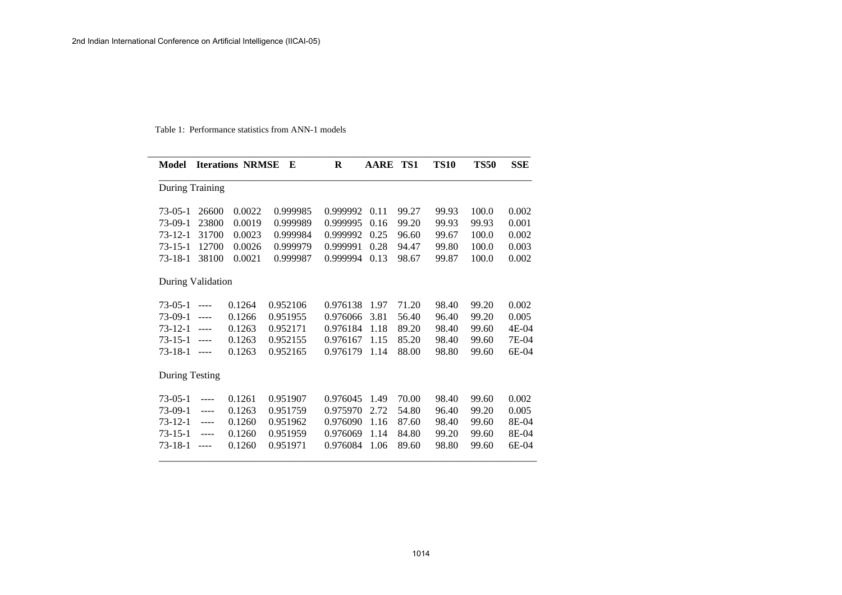Table 1: Performance statistics from ANN-1 models

| <b>Model</b>      |               | <b>Iterations NRMSE</b> | E        | $\bf{R}$ | <b>AARE</b> | TS1   | <b>TS10</b> | <b>TS50</b> | <b>SSE</b> |
|-------------------|---------------|-------------------------|----------|----------|-------------|-------|-------------|-------------|------------|
| During Training   |               |                         |          |          |             |       |             |             |            |
| $73-05-1$         | 26600         | 0.0022                  | 0.999985 | 0.999992 | 0.11        | 99.27 | 99.93       | 100.0       | 0.002      |
| $73-09-1$         | 23800         | 0.0019                  | 0.999989 | 0.999995 | 0.16        | 99.20 | 99.93       | 99.93       | 0.001      |
| $73 - 12 - 1$     | 31700         | 0.0023                  | 0.999984 | 0.999992 | 0.25        | 96.60 | 99.67       | 100.0       | 0.002      |
| $73 - 15 - 1$     | 12700         | 0.0026                  | 0.999979 | 0.999991 | 0.28        | 94.47 | 99.80       | 100.0       | 0.003      |
| $73 - 18 - 1$     | 38100         | 0.0021                  | 0.999987 | 0.999994 | 0.13        | 98.67 | 99.87       | 100.0       | 0.002      |
| During Validation |               |                         |          |          |             |       |             |             |            |
| $73-05-1$         | $\cdots$      | 0.1264                  | 0.952106 | 0.976138 | 1.97        | 71.20 | 98.40       | 99.20       | 0.002      |
| $73-09-1$         | $\frac{1}{2}$ | 0.1266                  | 0.951955 | 0.976066 | 3.81        | 56.40 | 96.40       | 99.20       | 0.005      |
| $73 - 12 - 1$     | $\cdots$      | 0.1263                  | 0.952171 | 0.976184 | 1.18        | 89.20 | 98.40       | 99.60       | 4E-04      |
| $73 - 15 - 1$     | $\frac{1}{2}$ | 0.1263                  | 0.952155 | 0.976167 | 1.15        | 85.20 | 98.40       | 99.60       | 7E-04      |
| $73 - 18 - 1$     | $\cdots$      | 0.1263                  | 0.952165 | 0.976179 | 1.14        | 88.00 | 98.80       | 99.60       | 6E-04      |
| During Testing    |               |                         |          |          |             |       |             |             |            |
| $73-05-1$         | $- - - -$     | 0.1261                  | 0.951907 | 0.976045 | 1.49        | 70.00 | 98.40       | 99.60       | 0.002      |
| $73-09-1$         | $- - - -$     | 0.1263                  | 0.951759 | 0.975970 | 2.72        | 54.80 | 96.40       | 99.20       | 0.005      |
| $73 - 12 - 1$     | $- - - -$     | 0.1260                  | 0.951962 | 0.976090 | 1.16        | 87.60 | 98.40       | 99.60       | 8E-04      |
| $73 - 15 - 1$     | $---$         | 0.1260                  | 0.951959 | 0.976069 | 1.14        | 84.80 | 99.20       | 99.60       | 8E-04      |
| $73 - 18 - 1$     | $- - - -$     | 0.1260                  | 0.951971 | 0.976084 | 1.06        | 89.60 | 98.80       | 99.60       | 6E-04      |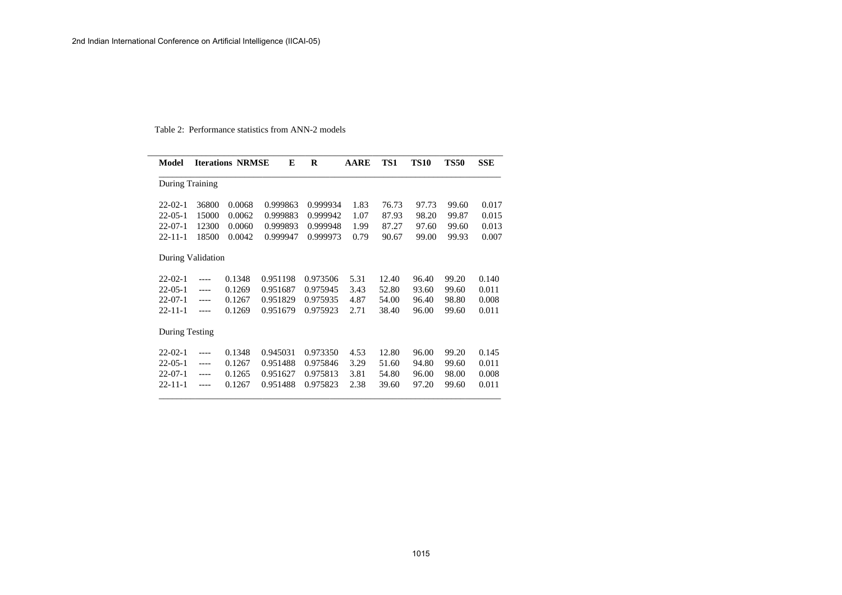#### Table 2: Performance statistics from ANN-2 models

| <b>Model</b>      |         | <b>Iterations NRMSE</b> | E        | R        | <b>AARE</b> | TS1   | <b>TS10</b> | <b>TS50</b> | <b>SSE</b> |
|-------------------|---------|-------------------------|----------|----------|-------------|-------|-------------|-------------|------------|
| During Training   |         |                         |          |          |             |       |             |             |            |
| $22 - 02 - 1$     | 36800   | 0.0068                  | 0.999863 | 0.999934 | 1.83        | 76.73 | 97.73       | 99.60       | 0.017      |
| $22 - 05 - 1$     | 15000   | 0.0062                  | 0.999883 | 0.999942 | 1.07        | 87.93 | 98.20       | 99.87       | 0.015      |
| $22 - 07 - 1$     | 12300   | 0.0060                  | 0.999893 | 0.999948 | 1.99        | 87.27 | 97.60       | 99.60       | 0.013      |
| $22 - 11 - 1$     | 18500   | 0.0042                  | 0.999947 | 0.999973 | 0.79        | 90.67 | 99.00       | 99.93       | 0.007      |
| During Validation |         |                         |          |          |             |       |             |             |            |
| $22 - 02 - 1$     | $---$   | 0.1348                  | 0.951198 | 0.973506 | 5.31        | 12.40 | 96.40       | 99.20       | 0.140      |
| $22 - 05 - 1$     | $---$   | 0.1269                  | 0.951687 | 0.975945 | 3.43        | 52.80 | 93.60       | 99.60       | 0.011      |
| $22 - 07 - 1$     | $---$   | 0.1267                  | 0.951829 | 0.975935 | 4.87        | 54.00 | 96.40       | 98.80       | 0.008      |
| $22 - 11 - 1$     | $---$   | 0.1269                  | 0.951679 | 0.975923 | 2.71        | 38.40 | 96.00       | 99.60       | 0.011      |
| During Testing    |         |                         |          |          |             |       |             |             |            |
| $22 - 02 - 1$     | $---$   | 0.1348                  | 0.945031 | 0.973350 | 4.53        | 12.80 | 96.00       | 99.20       | 0.145      |
| $22 - 05 - 1$     | $---$   | 0.1267                  | 0.951488 | 0.975846 | 3.29        | 51.60 | 94.80       | 99.60       | 0.011      |
| $22 - 07 - 1$     | $---$   | 0.1265                  | 0.951627 | 0.975813 | 3.81        | 54.80 | 96.00       | 98.00       | 0.008      |
| $22 - 11 - 1$     | $--- -$ | 0.1267                  | 0.951488 | 0.975823 | 2.38        | 39.60 | 97.20       | 99.60       | 0.011      |

\_\_\_\_\_\_\_\_\_\_\_\_\_\_\_\_\_\_\_\_\_\_\_\_\_\_\_\_\_\_\_\_\_\_\_\_\_\_\_\_\_\_\_\_\_\_\_\_\_\_\_\_\_\_\_\_\_\_\_\_\_\_\_\_\_\_\_\_\_\_\_\_\_\_\_\_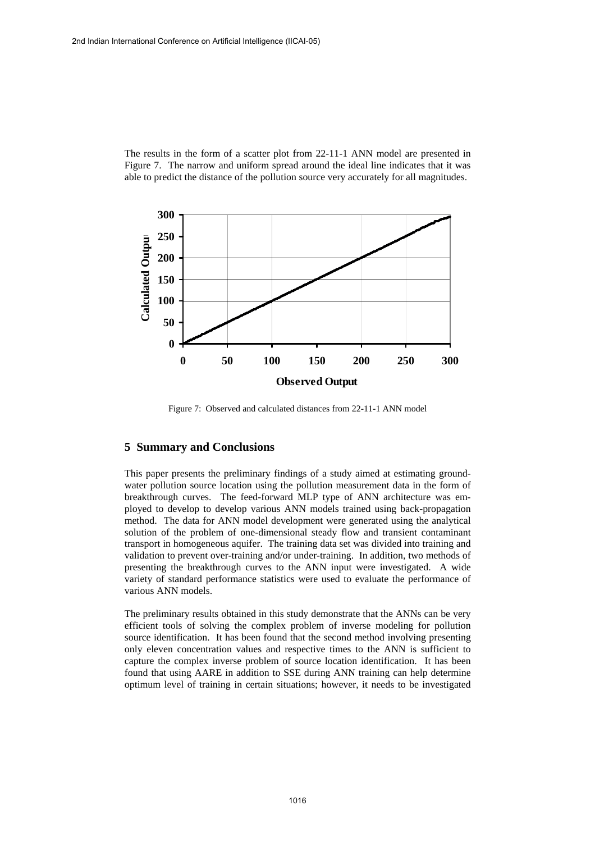The results in the form of a scatter plot from 22-11-1 ANN model are presented in Figure 7. The narrow and uniform spread around the ideal line indicates that it was able to predict the distance of the pollution source very accurately for all magnitudes.



Figure 7: Observed and calculated distances from 22-11-1 ANN model

## **5 Summary and Conclusions**

This paper presents the preliminary findings of a study aimed at estimating groundwater pollution source location using the pollution measurement data in the form of breakthrough curves. The feed-forward MLP type of ANN architecture was employed to develop to develop various ANN models trained using back-propagation method. The data for ANN model development were generated using the analytical solution of the problem of one-dimensional steady flow and transient contaminant transport in homogeneous aquifer. The training data set was divided into training and validation to prevent over-training and/or under-training. In addition, two methods of presenting the breakthrough curves to the ANN input were investigated. A wide variety of standard performance statistics were used to evaluate the performance of various ANN models.

The preliminary results obtained in this study demonstrate that the ANNs can be very efficient tools of solving the complex problem of inverse modeling for pollution source identification. It has been found that the second method involving presenting only eleven concentration values and respective times to the ANN is sufficient to capture the complex inverse problem of source location identification. It has been found that using AARE in addition to SSE during ANN training can help determine optimum level of training in certain situations; however, it needs to be investigated